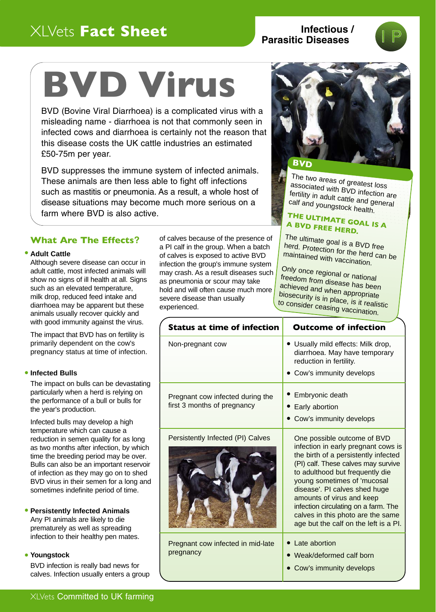## XLVets **Fact Sheet**

**Infectious / Parasitic Diseases** 



# **BVD Virus**

BVD (Bovine Viral Diarrhoea) is a complicated virus with a misleading name - diarrhoea is not that commonly seen in infected cows and diarrhoea is certainly not the reason that this disease costs the UK cattle industries an estimated £50-75m per year.

BVD suppresses the immune system of infected animals. These animals are then less able to fight off infections such as mastitis or pneumonia. As a result, a whole host of disease situations may become much more serious on a farm where BVD is also active.

### **What Are The Effects?**

#### ● **Adult Cattle**

Although severe disease can occur in adult cattle, most infected animals will show no signs of ill health at all. Signs such as an elevated temperature, milk drop, reduced feed intake and diarrhoea may be apparent but these animals usually recover quickly and with good immunity against the virus.

The impact that BVD has on fertility is primarily dependent on the cow's pregnancy status at time of infection.

#### ● **Infected Bulls**

The impact on bulls can be devastating particularly when a herd is relying on the performance of a bull or bulls for the year's production.

Infected bulls may develop a high temperature which can cause a reduction in semen quality for as long as two months after infection, by which time the breeding period may be over. Bulls can also be an important reservoir of infection as they may go on to shed BVD virus in their semen for a long and sometimes indefinite period of time.

● **Persistently Infected Animals** Any PI animals are likely to die prematurely as well as spreading infection to their healthy pen mates.

#### ● **Youngstock**

BVD infection is really bad news for calves. Infection usually enters a group

of calves because of the presence of a PI calf in the group. When a batch of calves is exposed to active BVD infection the group's immune system may crash. As a result diseases such as pneumonia or scour may take hold and will often cause much more severe disease than usually experienced.



The two areas of greatest loss associated with BVD infection are fertility in adult cattle and general calf and youngstock health.

### **A BVD FREE HERD THE ULTIMATE GOAL IS <sup>A</sup>**

The ultimate goal is a BVD free herd. Protection for the herd can be maintained with vaccination.

Only once regional or national freedom from disease has been achieved and when appropriate biosecurity is in place, is it realistic to consider ceasing vaccination.

| <b>Status at time of infection</b>                              | <b>Outcome of infection</b>                                                                                                                                                                                                                                                                                                                                                                             |
|-----------------------------------------------------------------|---------------------------------------------------------------------------------------------------------------------------------------------------------------------------------------------------------------------------------------------------------------------------------------------------------------------------------------------------------------------------------------------------------|
| Non-pregnant cow                                                | • Usually mild effects: Milk drop,<br>diarrhoea. May have temporary<br>reduction in fertility.                                                                                                                                                                                                                                                                                                          |
|                                                                 | • Cow's immunity develops                                                                                                                                                                                                                                                                                                                                                                               |
| Pregnant cow infected during the<br>first 3 months of pregnancy | Embryonic death<br>Early abortion<br>Cow's immunity develops                                                                                                                                                                                                                                                                                                                                            |
| Persistently Infected (PI) Calves                               | One possible outcome of BVD<br>infection in early pregnant cows is<br>the birth of a persistently infected<br>(PI) calf. These calves may survive<br>to adulthood but frequently die<br>young sometimes of 'mucosal<br>disease'. PI calves shed huge<br>amounts of virus and keep<br>infection circulating on a farm. The<br>calves in this photo are the same<br>age but the calf on the left is a PI. |
| Pregnant cow infected in mid-late<br>pregnancy                  | Late abortion<br>Weak/deformed calf born<br>• Cow's immunity develops                                                                                                                                                                                                                                                                                                                                   |